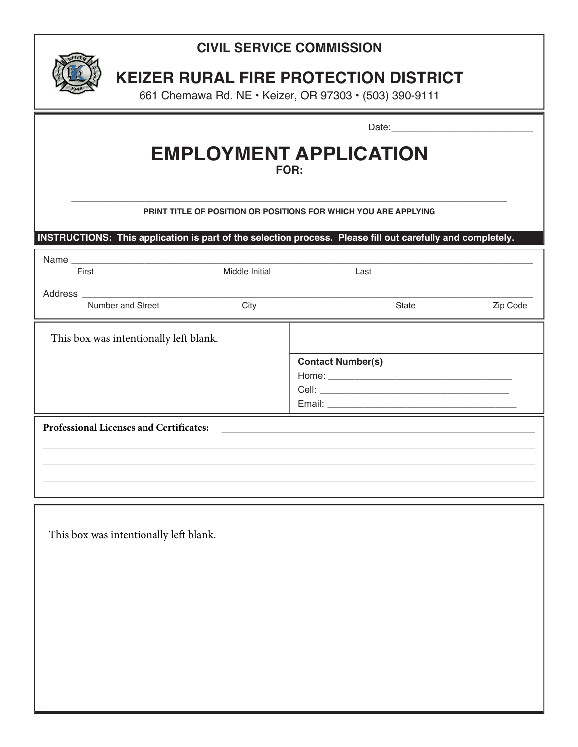## **CIVIL SERVICE COMMISSION**



# **KEIZER RURAL FIRE PROTECTION DISTRICT**

661 Chemawa Rd. NE • Keizer, OR 97303 • (503) 390-9111

### **EMPLOYMENT APPLICATION FOR:**

### \_\_\_\_\_\_\_\_\_\_\_\_\_\_\_\_\_\_\_\_\_\_\_\_\_\_\_\_\_\_\_\_\_\_\_\_\_\_\_\_\_\_\_\_\_\_\_\_\_\_\_\_\_\_\_\_\_\_\_\_\_\_\_\_\_\_\_\_\_\_\_\_\_\_\_\_\_\_\_\_\_\_\_ **PRINT TITLE OF POSITION OR POSITIONS FOR WHICH YOU ARE APPLYING**

**INSTRUCTIONS: This application is part of the selection process. Please fill out carefully and completely.**

| First                                   | Middle Initial | Last                     |       |          |
|-----------------------------------------|----------------|--------------------------|-------|----------|
|                                         |                |                          |       |          |
| Number and Street                       | City           |                          | State | Zip Code |
| This box was intentionally left blank.  |                |                          |       |          |
|                                         |                | <b>Contact Number(s)</b> |       |          |
|                                         |                |                          |       |          |
|                                         |                |                          |       |          |
|                                         |                |                          |       |          |
| Professional Licenses and Certificates: |                |                          |       |          |
|                                         |                |                          |       |          |
|                                         |                |                          |       |          |
|                                         |                |                          |       |          |
|                                         |                |                          |       |          |

This box was intentionally left blank.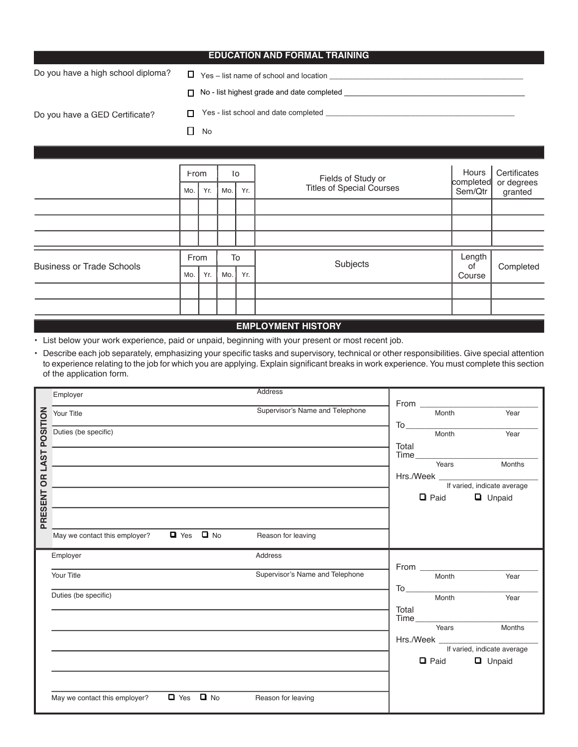| <b>EDUCATION AND FORMAL TRAINING</b>                                                                                                                                                                                           |  |  |
|--------------------------------------------------------------------------------------------------------------------------------------------------------------------------------------------------------------------------------|--|--|
|                                                                                                                                                                                                                                |  |  |
| No - list highest grade and date completed<br>П.                                                                                                                                                                               |  |  |
| Yes - list school and date completed example to the state of the state of the state of the state of the state of the state of the state of the state of the state of the state of the state of the state of the state of the s |  |  |
| No                                                                                                                                                                                                                             |  |  |
|                                                                                                                                                                                                                                |  |  |

| Hours<br>Fields of Study or<br>completed<br><b>Titles of Special Courses</b><br>Sem/Qtr |              | Certificates<br>or degrees<br>granted |
|-----------------------------------------------------------------------------------------|--------------|---------------------------------------|
|                                                                                         |              |                                       |
|                                                                                         |              |                                       |
|                                                                                         |              |                                       |
| Subjects                                                                                | Length<br>0f | Completed                             |
|                                                                                         | Course       |                                       |
|                                                                                         |              |                                       |
|                                                                                         |              |                                       |
|                                                                                         |              |                                       |

#### **EMPLOYMENT HISTORY**

**•** List below your work experience, paid or unpaid, beginning with your present or most recent job.

• Describe each job separately, emphasizing your specific tasks and supervisory, technical or other responsibilities. Give special attention to experience relating to the job for which you are applying. Explain significant breaks in work experience. You must complete this section of the application form.

|             | Employer                                              | Address                         |                                       |
|-------------|-------------------------------------------------------|---------------------------------|---------------------------------------|
|             |                                                       |                                 |                                       |
| POSITION    | Your Title                                            | Supervisor's Name and Telephone | Year<br>Month                         |
|             |                                                       |                                 |                                       |
|             | Duties (be specific)                                  |                                 | Year<br>Month                         |
|             |                                                       |                                 | Total                                 |
|             |                                                       |                                 |                                       |
| <b>LAST</b> |                                                       |                                 | $Time$ $\frac{1}{10}$<br>Years Months |
|             |                                                       |                                 | Hrs./Week _________________________   |
| <b>SP</b>   |                                                       |                                 | If varied, indicate average           |
| PRESENT     |                                                       |                                 | $\Box$ Paid<br><b>Q</b> Unpaid        |
|             |                                                       |                                 |                                       |
|             |                                                       |                                 |                                       |
|             |                                                       |                                 |                                       |
|             | May we contact this employer? $\Box$ Yes $\Box$ No    | Reason for leaving              |                                       |
|             |                                                       |                                 |                                       |
|             | Employer                                              | Address                         |                                       |
|             |                                                       |                                 |                                       |
|             |                                                       |                                 |                                       |
|             | Your Title                                            | Supervisor's Name and Telephone | Year<br><b>Month</b>                  |
|             |                                                       |                                 |                                       |
|             | Duties (be specific)                                  |                                 | Year<br>Month                         |
|             |                                                       |                                 |                                       |
|             |                                                       |                                 | Total                                 |
|             |                                                       |                                 |                                       |
|             |                                                       |                                 | Months<br>Years                       |
|             |                                                       |                                 |                                       |
|             |                                                       |                                 | If varied, indicate average           |
|             |                                                       |                                 | $\Box$ Paid<br><b>Q</b> Unpaid        |
|             |                                                       |                                 |                                       |
|             |                                                       |                                 |                                       |
|             |                                                       |                                 |                                       |
|             | $\Box$ Yes $\Box$ No<br>May we contact this employer? | Reason for leaving              |                                       |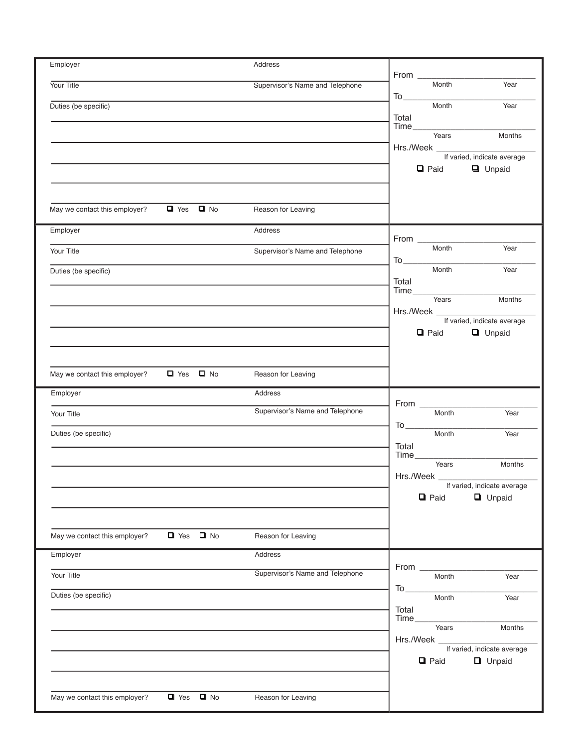| Employer                      |                      | Address                         | From $\qquad$                                                                        |
|-------------------------------|----------------------|---------------------------------|--------------------------------------------------------------------------------------|
| Your Title                    |                      | Supervisor's Name and Telephone | Month<br>Year                                                                        |
| Duties (be specific)          |                      |                                 | Month<br>Year                                                                        |
|                               |                      |                                 | Total<br>Time Years<br>Months                                                        |
|                               |                      |                                 |                                                                                      |
|                               |                      |                                 | $\Box$ Paid<br><b>Q</b> Unpaid                                                       |
|                               |                      |                                 |                                                                                      |
| May we contact this employer? | $\Box$ Yes $\Box$ No | Reason for Leaving              |                                                                                      |
| Employer                      |                      | Address                         |                                                                                      |
| Your Title                    |                      | Supervisor's Name and Telephone | Month<br>Year                                                                        |
| Duties (be specific)          |                      |                                 | $\begin{array}{c}\n\hline\n\text{To} & \text{Month}\n\\ \hline\n\end{array}$<br>Year |
|                               |                      |                                 | Total<br>Time                                                                        |
|                               |                      |                                 | Years<br>Months                                                                      |
|                               |                      |                                 | If varied, indicate average<br>$\Box$ Paid<br><b>Q</b> Unpaid                        |
|                               |                      |                                 |                                                                                      |
| May we contact this employer? | $\Box$ Yes $\Box$ No | Reason for Leaving              |                                                                                      |
| Employer                      |                      | Address                         |                                                                                      |
|                               |                      | Supervisor's Name and Telephone | From ____<br><b>Month</b><br>Year                                                    |
| Your Title                    |                      |                                 |                                                                                      |
| Duties (be specific)          |                      |                                 | Month<br>Year<br>Total                                                               |
|                               |                      |                                 | Time<br>Years<br>Months                                                              |
|                               |                      |                                 | Hrs./Week<br>If varied, indicate average                                             |
|                               |                      |                                 | <b>Q</b> Paid<br><b>Q</b> Unpaid                                                     |
|                               |                      |                                 |                                                                                      |
| May we contact this employer? | $\Box$ Yes $\Box$ No | Reason for Leaving              |                                                                                      |
| Employer                      |                      | Address                         |                                                                                      |
| Your Title                    |                      | Supervisor's Name and Telephone | From ____<br>Month<br>Year                                                           |
| Duties (be specific)          |                      |                                 | Month<br>Year                                                                        |
|                               |                      |                                 | Total                                                                                |
|                               |                      |                                 | Years<br>Months                                                                      |
|                               |                      |                                 | If varied, indicate average<br><b>Q</b> Paid<br><b>Q</b> Unpaid                      |
|                               |                      |                                 |                                                                                      |
| May we contact this employer? | $\Box$ Yes $\Box$ No | Reason for Leaving              |                                                                                      |